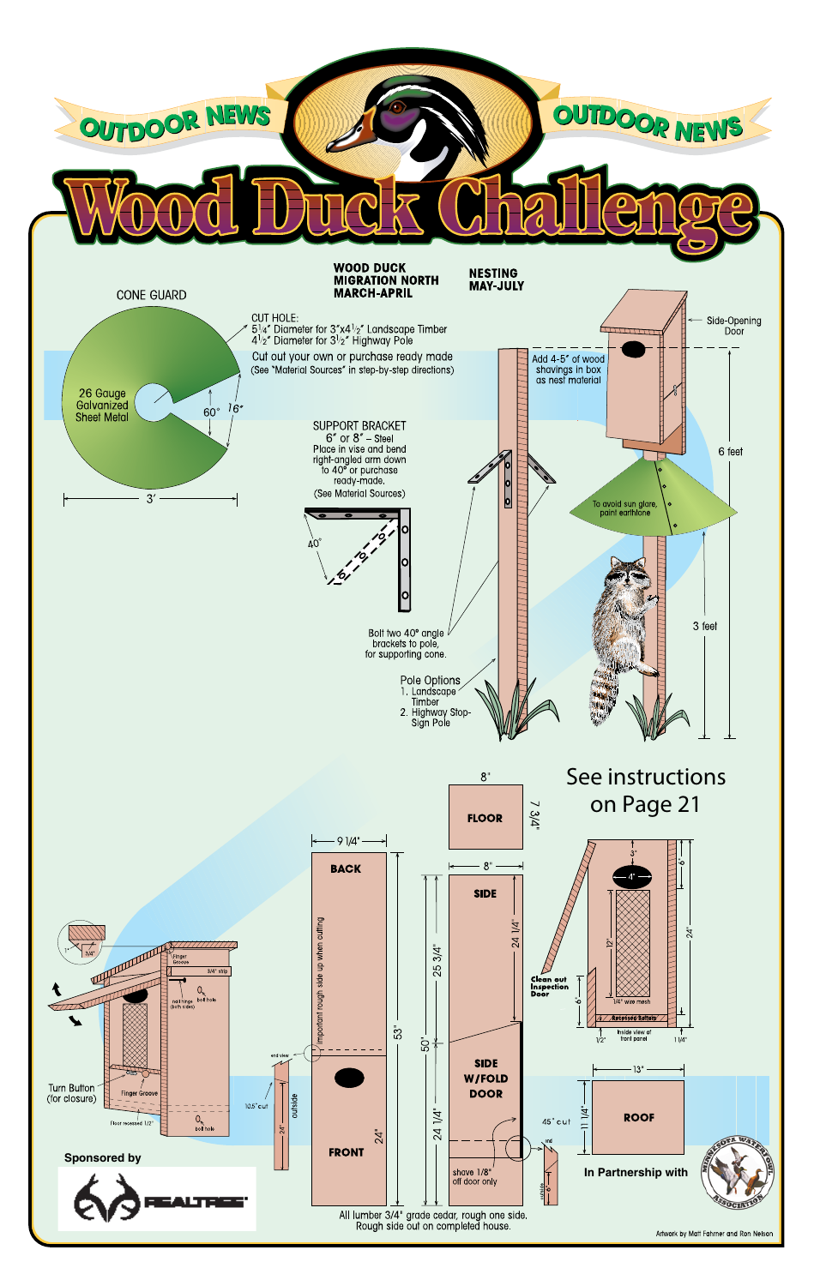